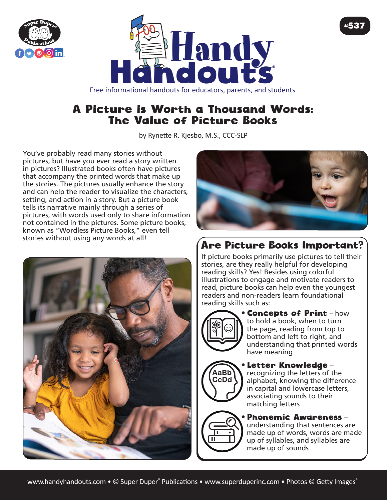



## A Picture is Worth a Thousand Words: The Value of Picture Books

by Rynette R. Kjesbo, M.S., CCC-SLP

You've probably read many stories without pictures, but have you ever read a story written in pictures? Illustrated books often have pictures that accompany the printed words that make up the stories. The pictures usually enhance the story and can help the reader to visualize the characters, setting, and action in a story. But a picture book tells its narrative mainly through a series of pictures, with words used only to share information not contained in the pictures. Some picture books, known as "Wordless Picture Books," even tell stories without using any words at all!





#537

# Are Picture Books Important?

If picture books primarily use pictures to tell their stories, are they really helpful for developing reading skills? Yes! Besides using colorful illustrations to engage and motivate readers to read, picture books can help even the youngest readers and non-readers learn foundational reading skills such as:



AaBb CcDd • Concepts of Print – how to hold a book, when to turn the page, reading from top to bottom and left to right, and understanding that printed words have meaning

#### • Letter Knowledge – recognizing the letters of the alphabet, knowing the difference in capital and lowercase letters, associating sounds to their matching letters

## • Phonemic Awareness –

understanding that sentences are made up of words, words are made up of syllables, and syllables are made up of sounds